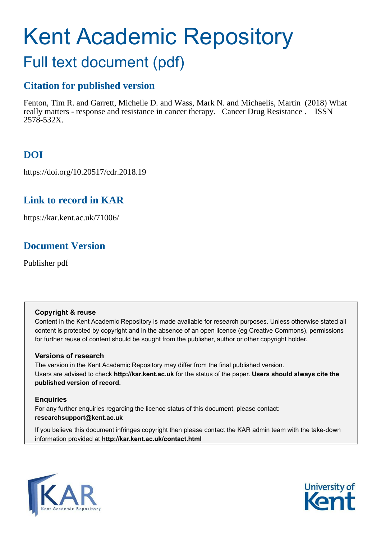# Kent Academic Repository

## Full text document (pdf)

## **Citation for published version**

Fenton, Tim R. and Garrett, Michelle D. and Wass, Mark N. and Michaelis, Martin (2018) What really matters - response and resistance in cancer therapy. Cancer Drug Resistance . ISSN 2578-532X.

## **DOI**

https://doi.org/10.20517/cdr.2018.19

## **Link to record in KAR**

https://kar.kent.ac.uk/71006/

## **Document Version**

Publisher pdf

### **Copyright & reuse**

Content in the Kent Academic Repository is made available for research purposes. Unless otherwise stated all content is protected by copyright and in the absence of an open licence (eg Creative Commons), permissions for further reuse of content should be sought from the publisher, author or other copyright holder.

### **Versions of research**

The version in the Kent Academic Repository may differ from the final published version. Users are advised to check **http://kar.kent.ac.uk** for the status of the paper. **Users should always cite the published version of record.**

### **Enquiries**

For any further enquiries regarding the licence status of this document, please contact: **researchsupport@kent.ac.uk**

If you believe this document infringes copyright then please contact the KAR admin team with the take-down information provided at **http://kar.kent.ac.uk/contact.html**



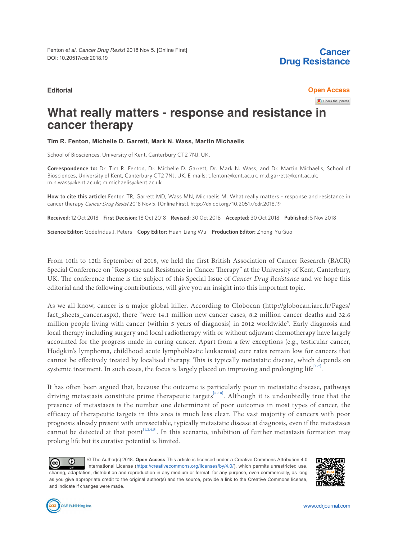**Cancer Drug Resistance**

#### **Editorial Open Access**

Check for updates

## **What really matters - response and resistance in cancer therapy**

**Tim R. Fenton, Michelle D. Garrett, Mark N. Wass, Martin Michaelis**

School of Biosciences, University of Kent, Canterbury CT2 7NJ, UK.

**Correspondence to:** Dr. Tim R. Fenton, Dr. Michelle D. Garrett, Dr. Mark N. Wass, and Dr. Martin Michaelis, School of Biosciences, University of Kent, Canterbury CT2 7NJ, UK. E-mails: t.fenton@kent.ac.uk; m.d.garrett@kent.ac.uk; m.n.wass@kent.ac.uk; m.michaelis@kent.ac.uk

**How to cite this article:** Fenton TR, Garrett MD, Wass MN, Michaelis M. What really matters - response and resistance in cancer therapy.Cancer Drug Resist 2018 Nov 5. [Online First]. http://dx.doi.org/10.20517/cdr.2018.19

**Received:** 12 Oct 2018 **First Decision:** 18 Oct 2018 **Revised:** 30 Oct 2018 **Accepted:** 30 Oct 2018 **Published:** 5 Nov 2018

**Science Editor:** Godefridus J. Peters **Copy Editor:** Huan-Liang Wu **Production Editor:** Zhong-Yu Guo

From 10th to 12th September of 2018, we held the first British Association of Cancer Research (BACR) Special Conference on "Response and Resistance in Cancer Therapy" at the University of Kent, Canterbury, UK. The conference theme is the subject of this Special Issue of *Cancer Drug Resistance* and we hope this editorial and the following contributions, will give you an insight into this important topic.

As we all know, cancer is a major global killer. According to Globocan (http://globocan.iarc.fr/Pages/ fact\_sheets\_cancer.aspx), there "were 14.1 million new cancer cases, 8.2 million cancer deaths and 32.6 million people living with cancer (within 5 years of diagnosis) in 2012 worldwide". Early diagnosis and local therapy including surgery and local radiotherapy with or without adjuvant chemotherapy have largely accounted for the progress made in curing cancer. Apart from a few exceptions (e.g., testicular cancer, Hodgkin's lymphoma, childhood acute lymphoblastic leukaemia) cure rates remain low for cancers that cannot be effectively treated by localised therapy. This is typically metastatic disease, which depends on systemic treatment. In such cases, the focus is largely placed on improving and prolonging life $11-7$ . .

It has often been argued that, because the outcome is particularly poor in metastatic disease, pathways driving metastasis constitute prime therapeutic targets<sup>[\[8-10\]](#page-2-0)</sup>. Although it is undoubtedly true that the presence of metastases is the number one determinant of poor outcomes in most types of cancer, the efficacy of therapeutic targets in this area is much less clear. The vast majority of cancers with poor prognosis already present with unresectable, typically metastatic disease at diagnosis, even if the metastases cannot be detected at that point<sup>[\[1,2,4,5\]](#page-2-0)</sup>. In this scenario, inhibition of further metastasis formation may prolong life but its curative potential is limited.

© The Author(s) 2018. **Open Access** This article is licensed under a Creative Commons Attribution 4.0  $\Omega$ (cc International License (https://creativecommons.org/licenses/by/4.0/), which permits unrestricted use, sharing, adaptation, distribution and reproduction in any medium or format, for any purpose, even commercially, as long as you give appropriate credit to the original author(s) and the source, provide a link to the Creative Commons license, and indicate if changes were made.



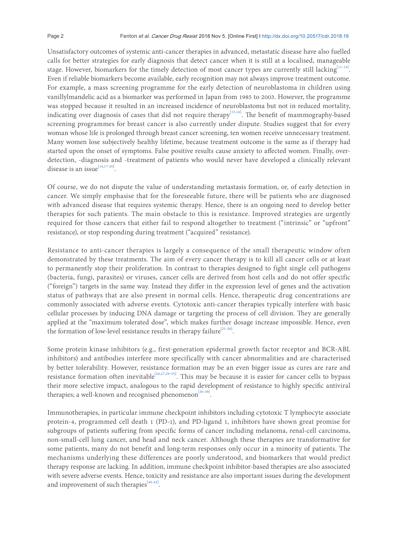<span id="page-2-0"></span>Unsatisfactory outcomes of systemic anti-cancer therapies in advanced, metastatic disease have also fuelled calls for better strategies for early diagnosis that detect cancer when it is still at a localised, manageable stage. However, biomarkers for the timely detection of most cancer types are currently still lacking [\[11-14\]](#page-3-0). Even if reliable biomarkers become available, early recognition may not always improve treatment outcome. For example, a mass screening programme for the early detection of neuroblastoma in children using vanillylmandelic acid as a biomarker was performed in Japan from 1985 to 2003. However, the programme was stopped because it resulted in an increased incidence of neuroblastoma but not in reduced mortality, indicating over diagnosis of cases that did not require therapy<sup>[\[15,16\]](#page-3-0)</sup>. The benefit of mammography-based screening programmes for breast cancer is also currently under dispute. Studies suggest that for every woman whose life is prolonged through breast cancer screening, ten women receive unnecessary treatment. Many women lose subjectively healthy lifetime, because treatment outcome is the same as if therapy had started upon the onset of symptoms. False positive results cause anxiety to afected women. Finally, overdetection, -diagnosis and -treatment of patients who would never have developed a clinically relevant disease is an issue<sup>[\[14,17-20\]](#page-3-0)</sup> .

Of course, we do not dispute the value of understanding metastasis formation, or, of early detection in cancer. We simply emphasise that for the foreseeable future, there will be patients who are diagnosed with advanced disease that requires systemic therapy. Hence, there is an ongoing need to develop better therapies for such patients. The main obstacle to this is resistance. Improved strategies are urgently required for those cancers that either fail to respond altogether to treatment ("intrinsic" or "upfront" resistance), or stop responding during treatment ("acquired" resistance).

Resistance to anti-cancer therapies is largely a consequence of the small therapeutic window often demonstrated by these treatments. The aim of every cancer therapy is to kill all cancer cells or at least to permanently stop their proliferation. In contrast to therapies designed to fight single cell pathogens (bacteria, fungi, parasites) or viruses, cancer cells are derived from host cells and do not offer specific ("foreign") targets in the same way. Instead they difer in the expression level of genes and the activation status of pathways that are also present in normal cells. Hence, therapeutic drug concentrations are commonly associated with adverse events. Cytotoxic anti-cancer therapies typically interfere with basic cellular processes by inducing DNA damage or targeting the process of cell division. They are generally applied at the "maximum tolerated dose", which makes further dosage increase impossible. Hence, even the formation of low-level resistance results in therapy failure<sup>[\[21-28\]](#page-3-0)</sup>. .

Some protein kinase inhibitors (e.g., first-generation epidermal growth factor receptor and BCR-ABL inhibitors) and antibodies interfere more specifically with cancer abnormalities and are characterised by better tolerability. However, resistance formation may be an even bigger issue as cures are rare and resistance formation often inevitable<sup>[\[26,27,29-35\]](#page-3-0)</sup>. This may be because it is easier for cancer cells to bypass their more selective impact, analogous to the rapid development of resistance to highly specific antiviral therapies; a well-known and recognised phenomenon<sup>[\[36-39\]](#page-3-0)</sup>. .

Immunotherapies, in particular immune checkpoint inhibitors including cytotoxic T lymphocyte associate protein-4, programmed cell death 1 (PD-1), and PD-ligand 1, inhibitors have shown great promise for subgroups of patients suffering from specific forms of cancer including melanoma, renal-cell carcinoma, non-small-cell lung cancer, and head and neck cancer. Although these therapies are transformative for some patients, many do not benefit and long-term responses only occur in a minority of patients. The mechanisms underlying these differences are poorly understood, and biomarkers that would predict therapy response are lacking. In addition, immune checkpoint inhibitor-based therapies are also associated with severe adverse events. Hence, toxicity and resistance are also important issues during the development and improvement of such therapies<sup>[\[40-42\]](#page-3-0)</sup>. .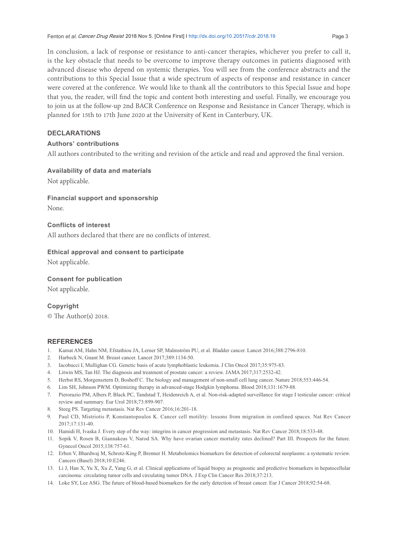<span id="page-3-0"></span>In conclusion, a lack of response or resistance to anti-cancer therapies, whichever you prefer to call it, is the key obstacle that needs to be overcome to improve therapy outcomes in patients diagnosed with advanced disease who depend on systemic therapies. You will see from the conference abstracts and the contributions to this Special Issue that a wide spectrum of aspects of response and resistance in cancer were covered at the conference. We would like to thank all the contributors to this Special Issue and hope that you, the reader, will find the topic and content both interesting and useful. Finally, we encourage you to join us at the follow-up 2nd BACR Conference on Response and Resistance in Cancer Therapy, which is planned for 15th to 17th June 2020 at the University of Kent in Canterbury, UK.

#### **DECLARATIONS**

#### **Authorsí contributions**

All authors contributed to the writing and revision of the article and read and approved the inal version.

#### **Availability of data and materials**

Not applicable.

## **Financial support and sponsorship**

None.

#### **Conflicts of interest**

All authors declared that there are no conflicts of interest.

#### **Ethical approval and consent to participate**

Not applicable.

#### **Consent for publication**

Not applicable.

#### **Copyright**

© The Author(s) 2018.

#### **REFERENCES**

- 1. Kamat AM, Hahn NM, Efstathiou JA, Lerner SP, Malmström PU, et al. Bladder cancer. Lancet 2016;388:2796-810.
- 2. Harbeck N, Gnant M. Breast cancer. Lancet 2017;389:1134-50.
- 3. Iacobucci I, Mullighan CG. Genetic basis of acute lymphoblastic leukemia. J Clin Oncol 2017;35:975-83.
- 4. Litwin MS, Tan HJ. The diagnosis and treatment of prostate cancer: a review. JAMA 2017;317:2532-42.
- 5. Herbst RS, Morgensztern D, Boshoff C. The biology and management of non-small cell lung cancer. Nature 2018;553:446-54.
- 6. Lim SH, Johnson PWM. Optimizing therapy in advanced-stage Hodgkin lymphoma. Blood 2018;131:1679-88.
- 7. Pierorazio PM, Albers P, Black PC, Tandstad T, Heidenreich A, et al. Non-risk-adapted surveillance for stage I testicular cancer: critical review and summary. Eur Urol 2018;73:899-907.
- 8. Steeg PS. Targeting metastasis. Nat Rev Cancer 2016;16:201-18.
- 9. Paul CD, Mistriotis P, Konstantopoulos K. Cancer cell motility: lessons from migration in confined spaces. Nat Rev Cancer 2017;17:131-40.
- 10. Hamidi H, Ivaska J. Every step of the way: integrins in cancer progression and metastasis. Nat Rev Cancer 2018;18:533-48.
- 11. Sopik V, Rosen B, Giannakeas V, Narod SA. Why have ovarian cancer mortality rates declined? Part III. Prospects for the future. Gynecol Oncol 2015;138:757-61.
- 12. Erben V, Bhardwaj M, Schrotz-King P, Brenner H. Metabolomics biomarkers for detection of colorectal neoplasms: a systematic review. Cancers (Basel) 2018;10:E246.
- 13. Li J, Han X, Yu X, Xu Z, Yang G, et al. Clinical applications of liquid biopsy as prognostic and predictive biomarkers in hepatocellular carcinoma: circulating tumor cells and circulating tumor DNA. J Exp Clin Cancer Res 2018;37:213.
- 14. Loke SY, Lee ASG. The future of blood-based biomarkers for the early detection of breast cancer. Eur J Cancer 2018;92:54-68.